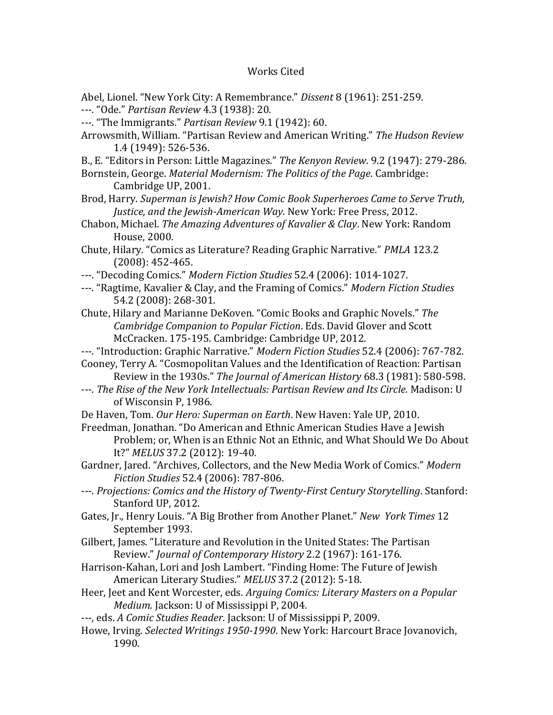## Works Cited

- Abel, Lionel. "New York City: A Remembrance." *Dissent* 8 (1961): 251-259.
- ---. "Ode." *Partisan Review* 4.3 (1938): 20.
- ---. "The Immigrants." *Partisan Review* 9.1 (1942): 60.
- Arrowsmith, William. "Partisan Review and American Writing." *The Hudson Review* 1.4 (1949): 526-536.
- B., E. "Editors in Person: Little Magazines." *The Kenyon Review*. 9.2 (1947): 279-286.
- Bornstein, George. *Material Modernism: The Politics of the Page*. Cambridge: Cambridge UP, 2001.
- Brod, Harry. *Superman is Jewish? How Comic Book Superheroes Came to Serve Truth, Justice, and the Jewish-American Way*. New York: Free Press, 2012.
- Chabon, Michael. *The Amazing Adventures of Kavalier & Clay*. New York: Random House, 2000.
- Chute, Hilary. "Comics as Literature? Reading Graphic Narrative." *PMLA* 123.2 (2008): 452-465.
- ---. "Decoding Comics." *Modern Fiction Studies* 52.4 (2006): 1014-1027.
- ---. "Ragtime, Kavalier & Clay, and the Framing of Comics." *Modern Fiction Studies* 54.2 (2008): 268-301.
- Chute, Hilary and Marianne DeKoven. "Comic Books and Graphic Novels." *The Cambridge Companion to Popular Fiction*. Eds. David Glover and Scott McCracken. 175-195. Cambridge: Cambridge UP, 2012.
- ---. "Introduction: Graphic Narrative." *Modern Fiction Studies* 52.4 (2006): 767-782.
- Cooney, Terry A. "Cosmopolitan Values and the Identification of Reaction: Partisan Review in the 1930s." *The Journal of American History* 68.3 (1981): 580-598.
- ---. *The Rise of the New York Intellectuals: Partisan Review and Its Circle.* Madison: U of Wisconsin P, 1986.
- De Haven, Tom. *Our Hero: Superman on Earth*. New Haven: Yale UP, 2010.
- Freedman, Jonathan. "Do American and Ethnic American Studies Have a Jewish Problem; or, When is an Ethnic Not an Ethnic, and What Should We Do About It?" *MELUS* 37.2 (2012): 19-40.
- Gardner, Jared. "Archives, Collectors, and the New Media Work of Comics." *Modern Fiction Studies* 52.4 (2006): 787-806.
- ---. *Projections: Comics and the History of Twenty-First Century Storytelling*. Stanford: Stanford UP, 2012.
- Gates, Jr., Henry Louis. "A Big Brother from Another Planet." *New York Times* 12 September 1993.
- Gilbert, James. "Literature and Revolution in the United States: The Partisan Review." *Journal of Contemporary History* 2.2 (1967): 161-176.
- Harrison-Kahan, Lori and Josh Lambert. "Finding Home: The Future of Jewish American Literary Studies." *MELUS* 37.2 (2012): 5-18.
- Heer, Jeet and Kent Worcester, eds. *Arguing Comics: Literary Masters on a Popular Medium.* Jackson: U of Mississippi P, 2004.
- ---, eds. *A Comic Studies Reader*. Jackson: U of Mississippi P, 2009.
- Howe, Irving. *Selected Writings 1950-1990*. New York: Harcourt Brace Jovanovich, 1990.